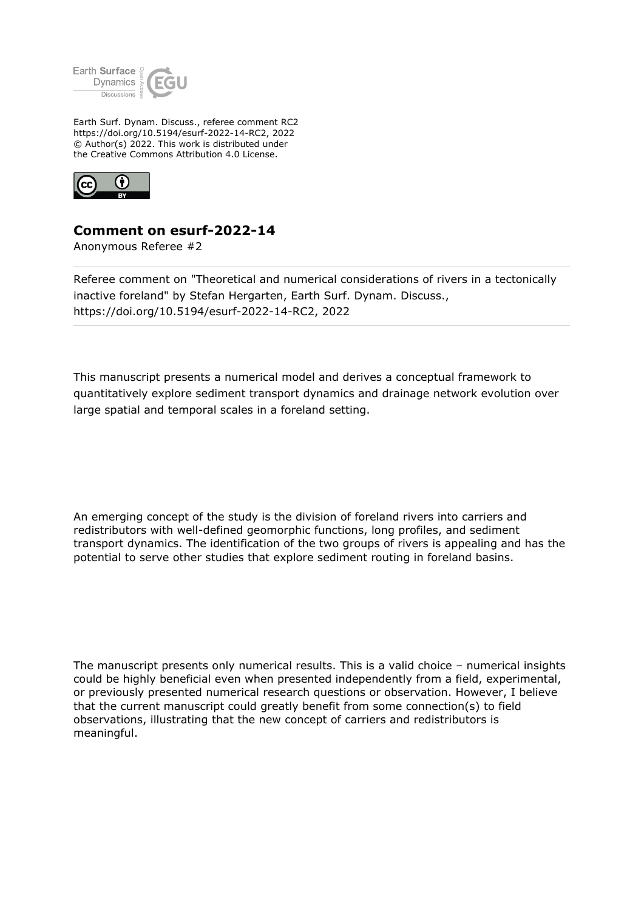

Earth Surf. Dynam. Discuss., referee comment RC2 https://doi.org/10.5194/esurf-2022-14-RC2, 2022 © Author(s) 2022. This work is distributed under the Creative Commons Attribution 4.0 License.



## **Comment on esurf-2022-14**

Anonymous Referee #2

Referee comment on "Theoretical and numerical considerations of rivers in a tectonically inactive foreland" by Stefan Hergarten, Earth Surf. Dynam. Discuss., https://doi.org/10.5194/esurf-2022-14-RC2, 2022

This manuscript presents a numerical model and derives a conceptual framework to quantitatively explore sediment transport dynamics and drainage network evolution over large spatial and temporal scales in a foreland setting.

An emerging concept of the study is the division of foreland rivers into carriers and redistributors with well-defined geomorphic functions, long profiles, and sediment transport dynamics. The identification of the two groups of rivers is appealing and has the potential to serve other studies that explore sediment routing in foreland basins.

The manuscript presents only numerical results. This is a valid choice – numerical insights could be highly beneficial even when presented independently from a field, experimental, or previously presented numerical research questions or observation. However, I believe that the current manuscript could greatly benefit from some connection(s) to field observations, illustrating that the new concept of carriers and redistributors is meaningful.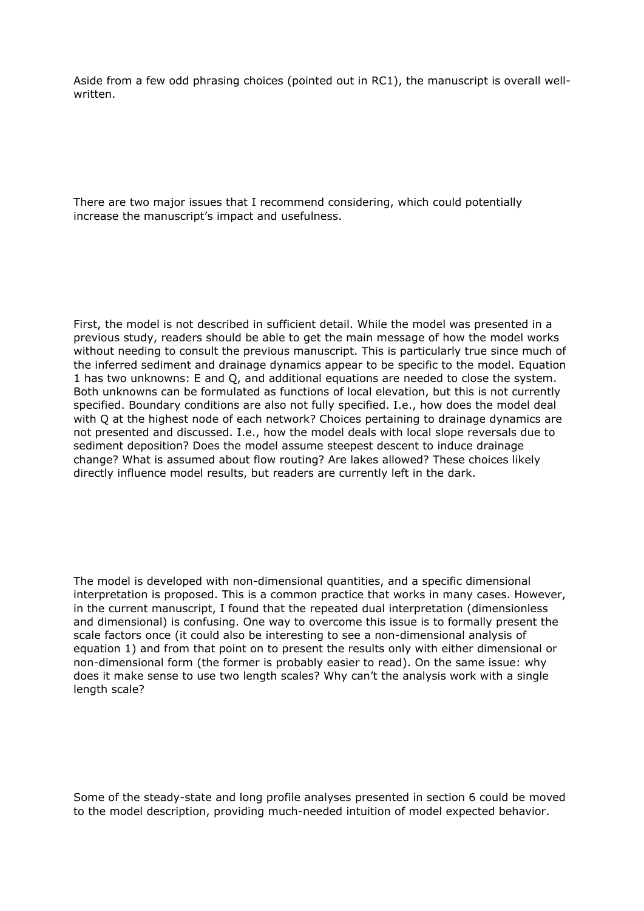Aside from a few odd phrasing choices (pointed out in RC1), the manuscript is overall wellwritten.

There are two major issues that I recommend considering, which could potentially increase the manuscript's impact and usefulness.

First, the model is not described in sufficient detail. While the model was presented in a previous study, readers should be able to get the main message of how the model works without needing to consult the previous manuscript. This is particularly true since much of the inferred sediment and drainage dynamics appear to be specific to the model. Equation 1 has two unknowns: E and Q, and additional equations are needed to close the system. Both unknowns can be formulated as functions of local elevation, but this is not currently specified. Boundary conditions are also not fully specified. I.e., how does the model deal with Q at the highest node of each network? Choices pertaining to drainage dynamics are not presented and discussed. I.e., how the model deals with local slope reversals due to sediment deposition? Does the model assume steepest descent to induce drainage change? What is assumed about flow routing? Are lakes allowed? These choices likely directly influence model results, but readers are currently left in the dark.

The model is developed with non-dimensional quantities, and a specific dimensional interpretation is proposed. This is a common practice that works in many cases. However, in the current manuscript, I found that the repeated dual interpretation (dimensionless and dimensional) is confusing. One way to overcome this issue is to formally present the scale factors once (it could also be interesting to see a non-dimensional analysis of equation 1) and from that point on to present the results only with either dimensional or non-dimensional form (the former is probably easier to read). On the same issue: why does it make sense to use two length scales? Why can't the analysis work with a single length scale?

Some of the steady-state and long profile analyses presented in section 6 could be moved to the model description, providing much-needed intuition of model expected behavior.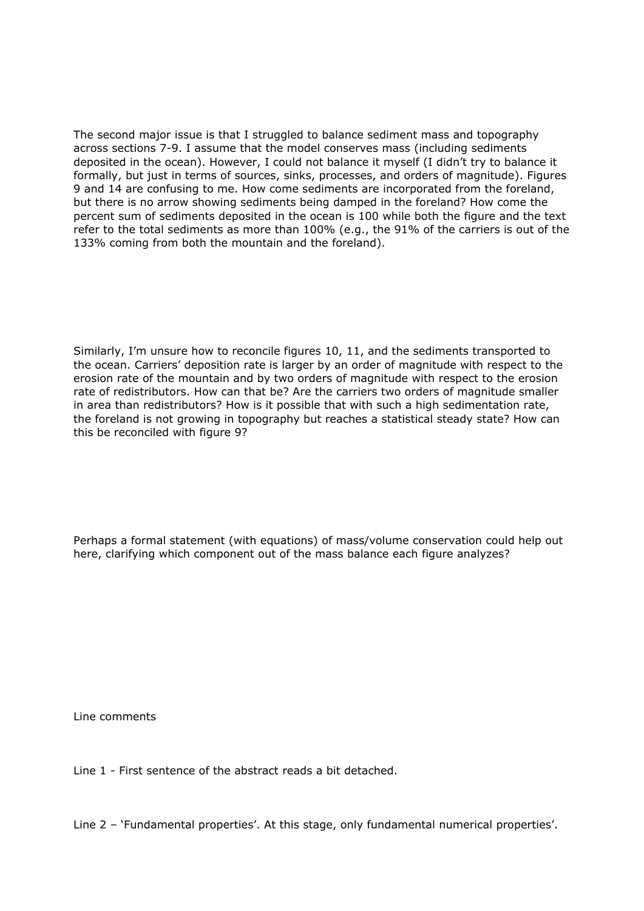The second major issue is that I struggled to balance sediment mass and topography across sections 7-9. I assume that the model conserves mass (including sediments deposited in the ocean). However, I could not balance it myself (I didn't try to balance it formally, but just in terms of sources, sinks, processes, and orders of magnitude). Figures 9 and 14 are confusing to me. How come sediments are incorporated from the foreland, but there is no arrow showing sediments being damped in the foreland? How come the percent sum of sediments deposited in the ocean is 100 while both the figure and the text refer to the total sediments as more than 100% (e.g., the 91% of the carriers is out of the 133% coming from both the mountain and the foreland).

Similarly, I'm unsure how to reconcile figures 10, 11, and the sediments transported to the ocean. Carriers' deposition rate is larger by an order of magnitude with respect to the erosion rate of the mountain and by two orders of magnitude with respect to the erosion rate of redistributors. How can that be? Are the carriers two orders of magnitude smaller in area than redistributors? How is it possible that with such a high sedimentation rate, the foreland is not growing in topography but reaches a statistical steady state? How can this be reconciled with figure 9?

Perhaps a formal statement (with equations) of mass/volume conservation could help out here, clarifying which component out of the mass balance each figure analyzes?

Line comments

Line 1 - First sentence of the abstract reads a bit detached.

Line 2 – 'Fundamental properties'. At this stage, only fundamental numerical properties'.